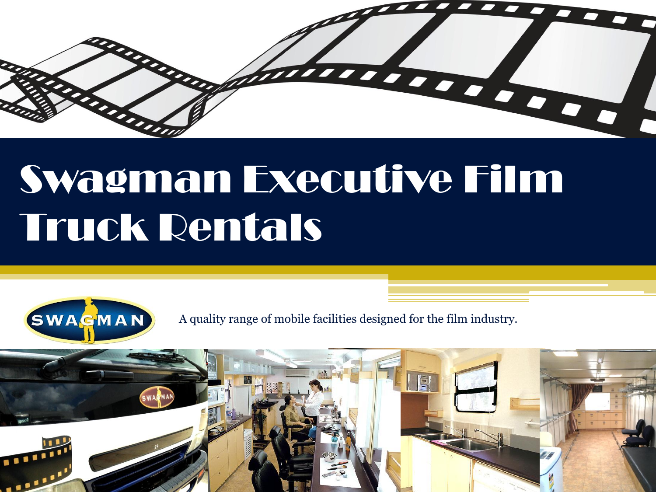

# Swagman Executive Film Truck Rentals



A quality range of mobile facilities designed for the film industry.

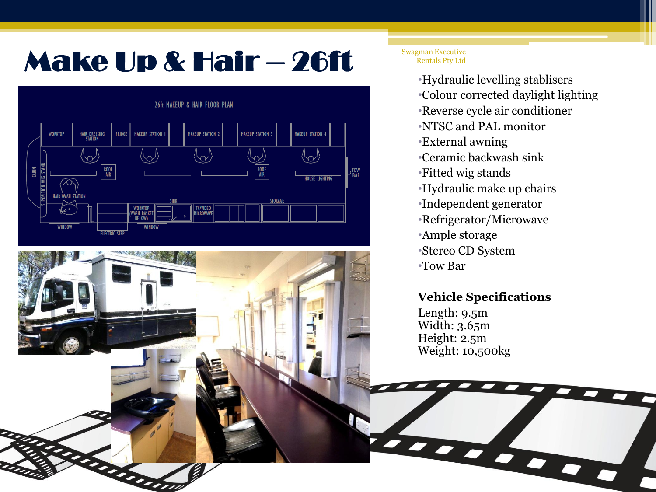## Make Up & Hair – 26ft

#### 26ft MAKEUP & HAIR FLOOR PLAN **WORKTOP** HAIR DRESSING<br>STATION **FRIDGE MAKEUP STATION MAKEUP STATION 2 MAKEUP STATION MAKEUP STATION 4**  $\backslash\!\!\sim$  $\frac{\text{ROOF}}{\text{AIR}}$ ROOF<br>AIR CABIN D<br>BAR **TOUSE LIGHTING** TV/VIDEO<br>MICROWAVE WORKTOP<br>WASH BASKE **ELECTRIC STEI**

am

Swagman Executive Rentals Pty Ltd

> •Hydraulic levelling stablisers •Colour corrected daylight lighting •Reverse cycle air conditioner •NTSC and PAL monitor •External awning •Ceramic backwash sink •Fitted wig stands •Hydraulic make up chairs •Independent generator •Refrigerator/Microwave •Ample storage •Stereo CD System •Tow Bar

### **Vehicle Specifications**

and on

Length: 9.5m Width: 3.65m Height: 2.5m Weight: 10,500kg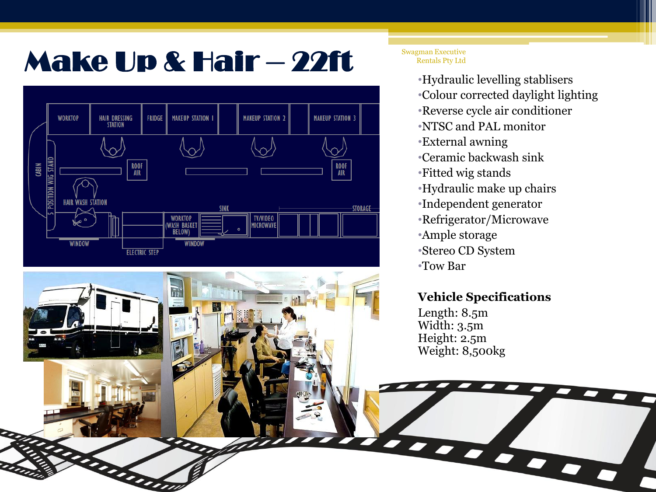## Make Up & Hair – 22ft



anno



•Hydraulic levelling stablisers •Colour corrected daylight lighting •Reverse cycle air conditioner •NTSC and PAL monitor •External awning •Ceramic backwash sink •Fitted wig stands •Hydraulic make up chairs •Independent generator •Refrigerator/Microwave •Ample storage •Stereo CD System •Tow Bar

### **Vehicle Specifications**

tered on

Length: 8.5m Width: 3.5m Height: 2.5m Weight: 8,500kg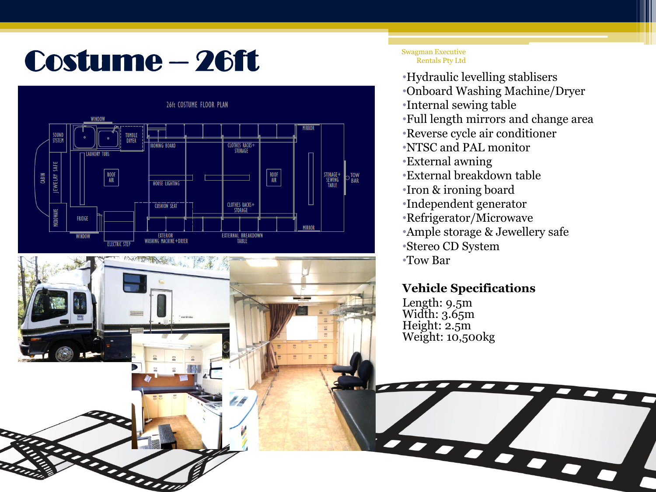# Costume – 26ft •Hydraulic levelling stablisers



#### Swagman Executive Rentals Pty Ltd

- 
- •Onboard Washing Machine/Dryer
- •Internal sewing table
- •Full length mirrors and change area
- •Reverse cycle air conditioner
- •NTSC and PAL monitor
- •External awning
- •External breakdown table
- •Iron & ironing board
- •Independent generator
- •Refrigerator/Microwave
- •Ample storage & Jewellery safe

the book of the contract

- •Stereo CD System
- •Tow Bar

### **Vehicle Specifications**

Length: 9.5m Width: 3.65m Height: 2.5m Weight: 10,500kg